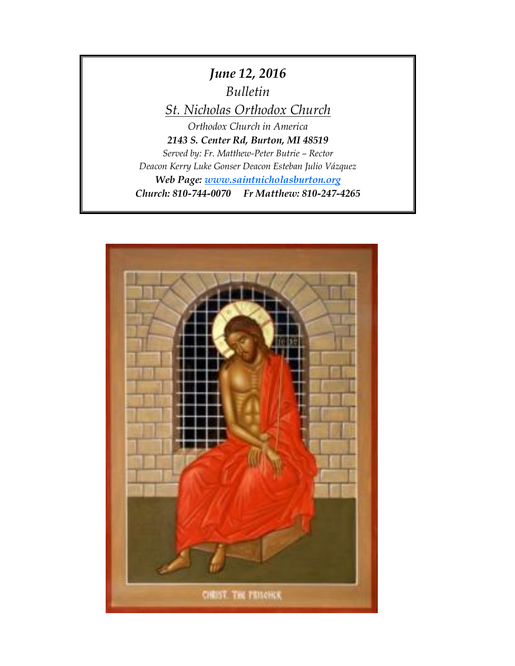# *June 12, 2016 Bulletin*

*St. Nicholas Orthodox Church*

*Orthodox Church in America 2143 S. Center Rd, Burton, MI 48519 Served by: Fr. Matthew-Peter Butrie – Rector Deacon Kerry Luke Gonser Deacon Esteban Julio Vázquez Web Page: [www.saintnicholasburton.org](http://www.saintnicholasburton.org/) Church: 810-744-0070 Fr Matthew: 810-247-4265*

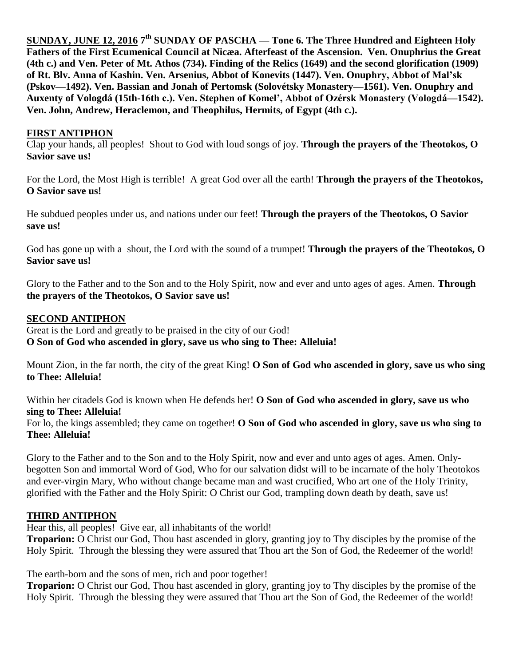**SUNDAY, JUNE 12, 2016 7 th SUNDAY OF PASCHA — Tone 6. The Three Hundred and Eighteen Holy Fathers of the First Ecumenical Council at Nicæa. Afterfeast of the Ascension. Ven. Onuphrius the Great (4th c.) and Ven. Peter of Mt. Athos (734). Finding of the Relics (1649) and the second glorification (1909) of Rt. Blv. Anna of Kashin. Ven. Arsenius, Abbot of Konevits (1447). Ven. Onuphry, Abbot of Mal'sk (Pskov—1492). Ven. Bassian and Jonah of Pertomsk (Solovétsky Monastery—1561). Ven. Onuphry and Auxenty of Vologdá (15th-16th c.). Ven. Stephen of Komel', Abbot of Ozérsk Monastery (Vologdá—1542). Ven. John, Andrew, Heraclemon, and Theophilus, Hermits, of Egypt (4th c.).** 

### **FIRST ANTIPHON**

Clap your hands, all peoples! Shout to God with loud songs of joy. **Through the prayers of the Theotokos, O Savior save us!**

For the Lord, the Most High is terrible! A great God over all the earth! **Through the prayers of the Theotokos, O Savior save us!**

He subdued peoples under us, and nations under our feet! **Through the prayers of the Theotokos, O Savior save us!**

God has gone up with a shout, the Lord with the sound of a trumpet! **Through the prayers of the Theotokos, O Savior save us!**

Glory to the Father and to the Son and to the Holy Spirit, now and ever and unto ages of ages. Amen. **Through the prayers of the Theotokos, O Savior save us!**

#### **SECOND ANTIPHON**

Great is the Lord and greatly to be praised in the city of our God! **O Son of God who ascended in glory, save us who sing to Thee: Alleluia!**

Mount Zion, in the far north, the city of the great King! **O Son of God who ascended in glory, save us who sing to Thee: Alleluia!**

Within her citadels God is known when He defends her! **O Son of God who ascended in glory, save us who sing to Thee: Alleluia!**

For lo, the kings assembled; they came on together! **O Son of God who ascended in glory, save us who sing to Thee: Alleluia!**

Glory to the Father and to the Son and to the Holy Spirit, now and ever and unto ages of ages. Amen. Onlybegotten Son and immortal Word of God, Who for our salvation didst will to be incarnate of the holy Theotokos and ever-virgin Mary, Who without change became man and wast crucified, Who art one of the Holy Trinity, glorified with the Father and the Holy Spirit: O Christ our God, trampling down death by death, save us!

# **THIRD ANTIPHON**

Hear this, all peoples! Give ear, all inhabitants of the world!

**Troparion:** O Christ our God, Thou hast ascended in glory, granting joy to Thy disciples by the promise of the Holy Spirit. Through the blessing they were assured that Thou art the Son of God, the Redeemer of the world!

The earth-born and the sons of men, rich and poor together!

**Troparion:** O Christ our God, Thou hast ascended in glory, granting joy to Thy disciples by the promise of the Holy Spirit. Through the blessing they were assured that Thou art the Son of God, the Redeemer of the world!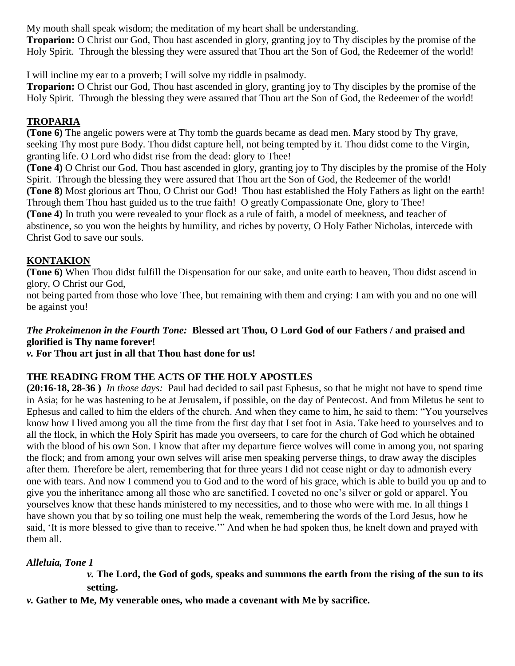My mouth shall speak wisdom; the meditation of my heart shall be understanding.

**Troparion:** O Christ our God, Thou hast ascended in glory, granting joy to Thy disciples by the promise of the Holy Spirit. Through the blessing they were assured that Thou art the Son of God, the Redeemer of the world!

I will incline my ear to a proverb; I will solve my riddle in psalmody.

**Troparion:** O Christ our God, Thou hast ascended in glory, granting joy to Thy disciples by the promise of the Holy Spirit. Through the blessing they were assured that Thou art the Son of God, the Redeemer of the world!

# **TROPARIA**

**(Tone 6)** The angelic powers were at Thy tomb the guards became as dead men. Mary stood by Thy grave, seeking Thy most pure Body. Thou didst capture hell, not being tempted by it. Thou didst come to the Virgin, granting life. O Lord who didst rise from the dead: glory to Thee!

**(Tone 4)** O Christ our God, Thou hast ascended in glory, granting joy to Thy disciples by the promise of the Holy Spirit. Through the blessing they were assured that Thou art the Son of God, the Redeemer of the world! **(Tone 8)** Most glorious art Thou, O Christ our God! Thou hast established the Holy Fathers as light on the earth! Through them Thou hast guided us to the true faith! O greatly Compassionate One, glory to Thee! **(Tone 4)** In truth you were revealed to your flock as a rule of faith, a model of meekness, and teacher of abstinence, so you won the heights by humility, and riches by poverty, O Holy Father Nicholas, intercede with Christ God to save our souls.

# **KONTAKION**

**(Tone 6)** When Thou didst fulfill the Dispensation for our sake, and unite earth to heaven, Thou didst ascend in glory, O Christ our God,

not being parted from those who love Thee, but remaining with them and crying: I am with you and no one will be against you!

# *The Prokeimenon in the Fourth Tone:* **Blessed art Thou, O Lord God of our Fathers / and praised and glorified is Thy name forever!**

*v.* **For Thou art just in all that Thou hast done for us!**

# **THE READING FROM THE ACTS OF THE HOLY APOSTLES**

**(20:16-18, 28-36 )** *In those days:* Paul had decided to sail past Ephesus, so that he might not have to spend time in Asia; for he was hastening to be at Jerusalem, if possible, on the day of Pentecost. And from Miletus he sent to Ephesus and called to him the elders of the church. And when they came to him, he said to them: "You yourselves know how I lived among you all the time from the first day that I set foot in Asia. Take heed to yourselves and to all the flock, in which the Holy Spirit has made you overseers, to care for the church of God which he obtained with the blood of his own Son. I know that after my departure fierce wolves will come in among you, not sparing the flock; and from among your own selves will arise men speaking perverse things, to draw away the disciples after them. Therefore be alert, remembering that for three years I did not cease night or day to admonish every one with tears. And now I commend you to God and to the word of his grace, which is able to build you up and to give you the inheritance among all those who are sanctified. I coveted no one's silver or gold or apparel. You yourselves know that these hands ministered to my necessities, and to those who were with me. In all things I have shown you that by so toiling one must help the weak, remembering the words of the Lord Jesus, how he said, 'It is more blessed to give than to receive.'" And when he had spoken thus, he knelt down and prayed with them all.

# *Alleluia, Tone 1*

# *v.* **The Lord, the God of gods, speaks and summons the earth from the rising of the sun to its setting.**

*v.* **Gather to Me, My venerable ones, who made a covenant with Me by sacrifice.**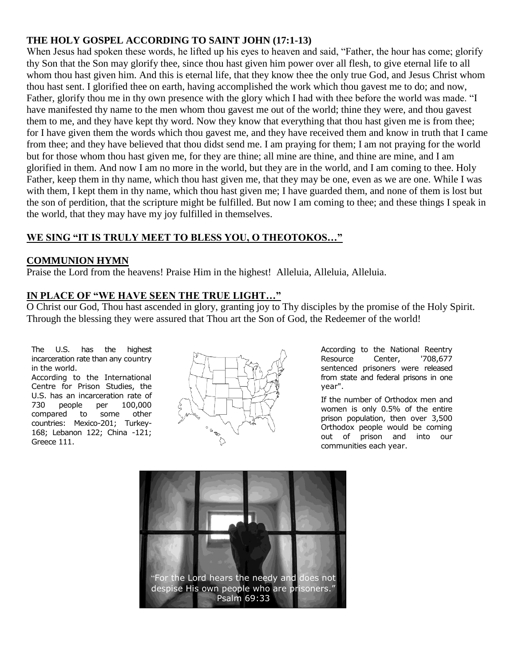# **THE HOLY GOSPEL ACCORDING TO SAINT JOHN (17:1-13)**

When Jesus had spoken these words, he lifted up his eyes to heaven and said, "Father, the hour has come; glorify thy Son that the Son may glorify thee, since thou hast given him power over all flesh, to give eternal life to all whom thou hast given him. And this is eternal life, that they know thee the only true God, and Jesus Christ whom thou hast sent. I glorified thee on earth, having accomplished the work which thou gavest me to do; and now, Father, glorify thou me in thy own presence with the glory which I had with thee before the world was made. "I have manifested thy name to the men whom thou gavest me out of the world; thine they were, and thou gavest them to me, and they have kept thy word. Now they know that everything that thou hast given me is from thee; for I have given them the words which thou gavest me, and they have received them and know in truth that I came from thee; and they have believed that thou didst send me. I am praying for them; I am not praying for the world but for those whom thou hast given me, for they are thine; all mine are thine, and thine are mine, and I am glorified in them. And now I am no more in the world, but they are in the world, and I am coming to thee. Holy Father, keep them in thy name, which thou hast given me, that they may be one, even as we are one. While I was with them, I kept them in thy name, which thou hast given me; I have guarded them, and none of them is lost but the son of perdition, that the scripture might be fulfilled. But now I am coming to thee; and these things I speak in the world, that they may have my joy fulfilled in themselves.

# **WE SING "IT IS TRULY MEET TO BLESS YOU, O THEOTOKOS…"**

# **COMMUNION HYMN**

Praise the Lord from the heavens! Praise Him in the highest! Alleluia, Alleluia, Alleluia.

# **IN PLACE OF "WE HAVE SEEN THE TRUE LIGHT…"**

O Christ our God, Thou hast ascended in glory, granting joy to Thy disciples by the promise of the Holy Spirit. Through the blessing they were assured that Thou art the Son of God, the Redeemer of the world!

The U.S. has the highest incarceration rate than any country in the world.

According to the International Centre for Prison Studies, the U.S. has an incarceration rate of<br>730 people per 100,000 730 people per 100,000 compared to some other countries: Mexico-201; Turkey-168; Lebanon 122; China -121; Greece 111.



According to the National Reentry Resource Center, '708,677 sentenced prisoners were released from state and federal prisons in one year".

If the number of Orthodox men and women is only 0.5% of the entire prison population, then over 3,500 Orthodox people would be coming out of prison and into our communities each year.

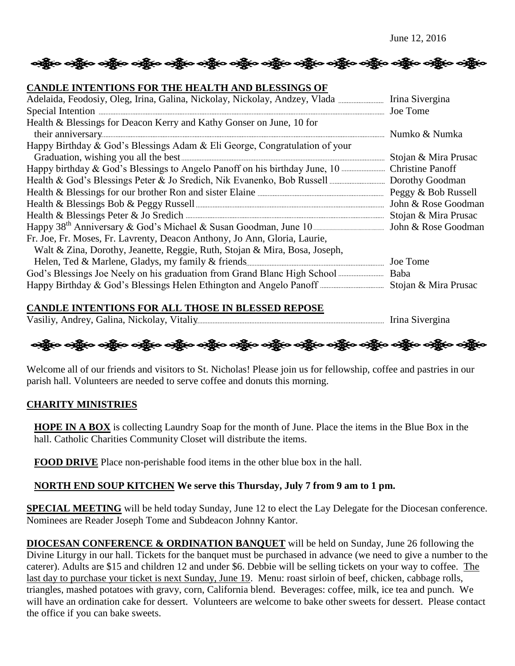# ခရွို့လ ခရွို့လ ခရွို့လ ခရွို့လ ခရွို့လ ခရွို့လ ခရွို့လ ခရွို့လ ခရွို့လ ခရွို့လ ခရွို့လ ခရွို့လ ခရွို့လ ခရွို

#### **CANDLE INTENTIONS FOR THE HEALTH AND BLESSINGS OF**

| Health & Blessings for Deacon Kerry and Kathy Gonser on June, 10 for                                            |                      |
|-----------------------------------------------------------------------------------------------------------------|----------------------|
|                                                                                                                 |                      |
| Happy Birthday & God's Blessings Adam & Eli George, Congratulation of your                                      |                      |
|                                                                                                                 | Stojan & Mira Prusac |
|                                                                                                                 |                      |
|                                                                                                                 |                      |
|                                                                                                                 |                      |
|                                                                                                                 |                      |
| Health & Blessings Peter & Jo Sredich <b>Manufacture 2018</b> Stojan & Mira Prusac                              |                      |
| Happy 38 <sup>th</sup> Anniversary & God's Michael & Susan Goodman, June 10 <b>Election</b> John & Rose Goodman |                      |
| Fr. Joe, Fr. Moses, Fr. Lavrenty, Deacon Anthony, Jo Ann, Gloria, Laurie,                                       |                      |
| Walt & Zina, Dorothy, Jeanette, Reggie, Ruth, Stojan & Mira, Bosa, Joseph,                                      |                      |
|                                                                                                                 |                      |
|                                                                                                                 |                      |
|                                                                                                                 |                      |

#### **CANDLE INTENTIONS FOR ALL THOSE IN BLESSED REPOSE**

Vasiliy, Andrey, Galina, Nickolay, Vitaliy Irina Sivergina

અક્ષેત્ર અક્ષેત્ર અક્ષેત્ર અહીં અને અક્ષેત્ર અક્ષેત્ર અક્ષેત્ર અક્ષેત્ર અને અહીં અને અક્ષેત્ર અહીં અને અહીં અ

Welcome all of our friends and visitors to St. Nicholas! Please join us for fellowship, coffee and pastries in our parish hall. Volunteers are needed to serve coffee and donuts this morning.

#### **CHARITY MINISTRIES**

**HOPE IN A BOX** is collecting Laundry Soap for the month of June. Place the items in the Blue Box in the hall. Catholic Charities Community Closet will distribute the items.

**FOOD DRIVE** Place non-perishable food items in the other blue box in the hall.

#### **NORTH END SOUP KITCHEN We serve this Thursday, July 7 from 9 am to 1 pm.**

**SPECIAL MEETING** will be held today Sunday, June 12 to elect the Lay Delegate for the Diocesan conference. Nominees are Reader Joseph Tome and Subdeacon Johnny Kantor.

**DIOCESAN CONFERENCE & ORDINATION BANQUET** will be held on Sunday, June 26 following the Divine Liturgy in our hall. Tickets for the banquet must be purchased in advance (we need to give a number to the caterer). Adults are \$15 and children 12 and under \$6. Debbie will be selling tickets on your way to coffee. The last day to purchase your ticket is next Sunday, June 19. Menu: roast sirloin of beef, chicken, cabbage rolls, triangles, mashed potatoes with gravy, corn, California blend. Beverages: coffee, milk, ice tea and punch. We will have an ordination cake for dessert. Volunteers are welcome to bake other sweets for dessert. Please contact the office if you can bake sweets.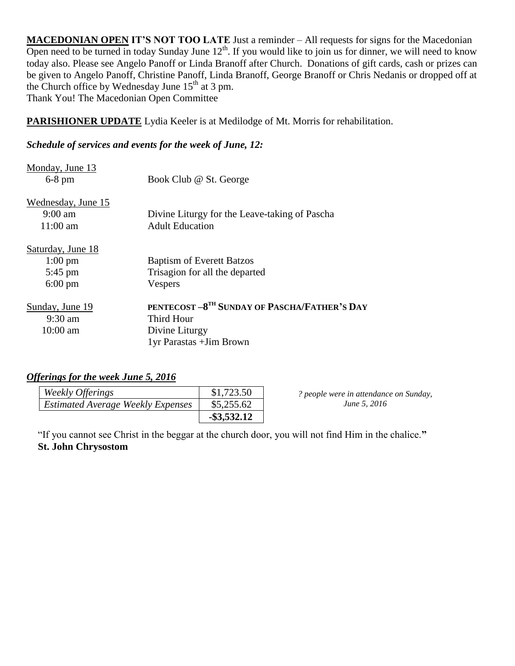**MACEDONIAN OPEN IT'S NOT TOO LATE** Just a reminder – All requests for signs for the Macedonian Open need to be turned in today Sunday June  $12<sup>th</sup>$ . If you would like to join us for dinner, we will need to know today also. Please see Angelo Panoff or Linda Branoff after Church. Donations of gift cards, cash or prizes can be given to Angelo Panoff, Christine Panoff, Linda Branoff, George Branoff or Chris Nedanis or dropped off at the Church office by Wednesday June  $15<sup>th</sup>$  at 3 pm. Thank You! The Macedonian Open Committee

**PARISHIONER UPDATE** Lydia Keeler is at Medilodge of Mt. Morris for rehabilitation.

#### *Schedule of services and events for the week of June, 12:*

| Monday, June 13<br>$6-8$ pm                   | Book Club @ St. George                                                  |
|-----------------------------------------------|-------------------------------------------------------------------------|
| Wednesday, June 15<br>$9:00$ am<br>$11:00$ am | Divine Liturgy for the Leave-taking of Pascha<br><b>Adult Education</b> |
| Saturday, June 18                             |                                                                         |
| $1:00 \text{ pm}$                             | <b>Baptism of Everett Batzos</b>                                        |
| $5:45$ pm                                     | Trisagion for all the departed                                          |
| $6:00 \text{ pm}$                             | Vespers                                                                 |
| Sunday, June 19                               | PENTECOST -8 <sup>TH</sup> SUNDAY OF PASCHA/FATHER'S DAY                |
| $9:30 \text{ am}$                             | Third Hour                                                              |
| $10:00$ am                                    | Divine Liturgy                                                          |
|                                               | 1yr Parastas + Jim Brown                                                |

# *Offerings for the week June 5, 2016*

| Weekly Offerings                         | \$1,723.50     |
|------------------------------------------|----------------|
| <b>Estimated Average Weekly Expenses</b> | \$5,255.62     |
|                                          | $-$ \$3,532.12 |

*? people were in attendance on Sunday, June 5, 2016*

"If you cannot see Christ in the beggar at the church door, you will not find Him in the chalice.**" St. John Chrysostom**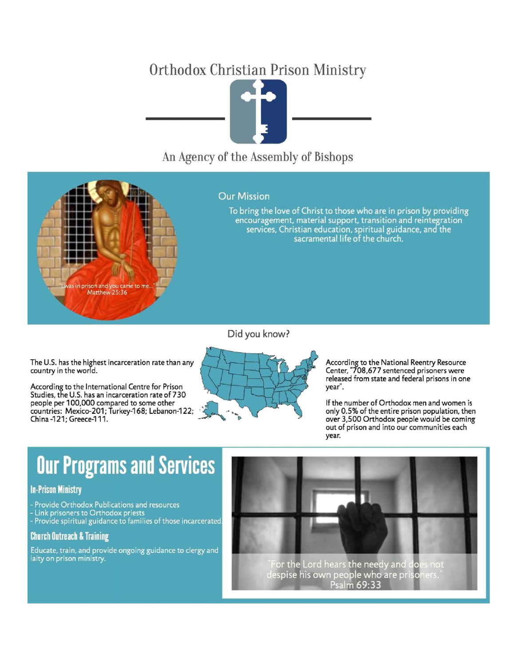# Orthodox Christian Prison Ministry



# An Agency of the Assembly of Bishops

#### **Our Mission**

To bring the love of Christ to those who are in prison by providing encouragement, material support, transition and reintegration services, Christian education, spiritual guidance, and the sacramental life of the church.

Did you know?

The U.S. has the highest incarceration rate than any country in the world.

in prison and you came to<br>Matthew 25:36

According to the International Centre for Prison Studies, the U.S. has an incarceration rate of 730 people per 100,000 compared to some other countries: Mexico-201; Turkey-168; Lebanon-122; China -121; Greece-111.



According to the National Reentry Resource Center, "708,677 sentenced prisoners were released from state and federal prisons in one year".

If the number of Orthodox men and women is only 0.5% of the entire prison population, then over 3,500 Orthodox people would be coming out of prison and into our communities each year.

# **Our Programs and Services**

# **In-Prison Ministry**

- Provide Orthodox Publications and resources Link prisoners to Orthodox priests
- Provide spiritual guidance to families of those incarcerated.

# **Church Outreach & Training**

Educate, train, and provide ongoing guidance to clergy and laity on prison ministry.



Psalm 69:33